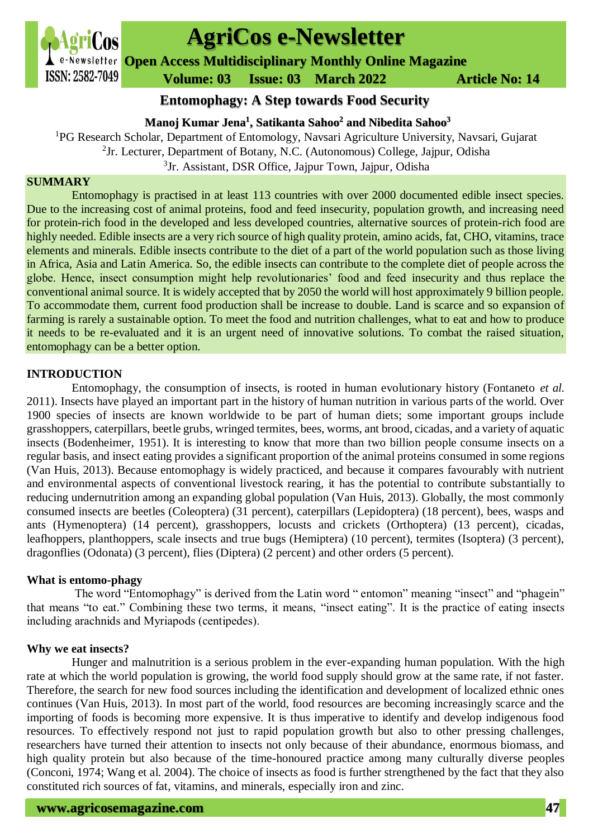

# **AgriCos e-Newsletter**

**Open Access Multidisciplinary Monthly Online Magazine**

 **ISSN: 2582-7049 Volume: 03 Issue: 03 March 2022 Article No: 14** 

### **Entomophagy: A Step towards Food Security**

**Manoj Kumar Jena<sup>1</sup> , Satikanta Sahoo<sup>2</sup> and Nibedita Sahoo<sup>3</sup>**

<sup>1</sup>PG Research Scholar, Department of Entomology, Navsari Agriculture University, Navsari, Gujarat  ${}^{2}$ Jr. Lecturer, Department of Botany, N.C. (Autonomous) College, Jajpur, Odisha <sup>3</sup>Jr. Assistant, DSR Office, Jajpur Town, Jajpur, Odisha

#### **SUMMARY**

Entomophagy is practised in at least 113 countries with over 2000 documented edible insect species. Due to the increasing cost of animal proteins, food and feed insecurity, population growth, and increasing need for protein-rich food in the developed and less developed countries, alternative sources of protein-rich food are highly needed. Edible insects are a very rich source of high quality protein, amino acids, fat, CHO, vitamins, trace elements and minerals. Edible insects contribute to the diet of a part of the world population such as those living in Africa, Asia and Latin America. So, the edible insects can contribute to the complete diet of people across the globe. Hence, insect consumption might help revolutionaries' food and feed insecurity and thus replace the conventional animal source. It is widely accepted that by 2050 the world will host approximately 9 billion people. To accommodate them, current food production shall be increase to double. Land is scarce and so expansion of farming is rarely a sustainable option. To meet the food and nutrition challenges, what to eat and how to produce it needs to be re-evaluated and it is an urgent need of innovative solutions. To combat the raised situation, entomophagy can be a better option.

#### **INTRODUCTION**

Entomophagy, the consumption of insects, is rooted in human evolutionary history (Fontaneto *et al.* 2011). Insects have played an important part in the history of human nutrition in various parts of the world. Over 1900 species of insects are known worldwide to be part of human diets; some important groups include grasshoppers, caterpillars, beetle grubs, wringed termites, bees, worms, ant brood, cicadas, and a variety of aquatic insects (Bodenheimer, 1951). It is interesting to know that more than two billion people consume insects on a regular basis, and insect eating provides a significant proportion of the animal proteins consumed in some regions (Van Huis, 2013). Because entomophagy is widely practiced, and because it compares favourably with nutrient and environmental aspects of conventional livestock rearing, it has the potential to contribute substantially to reducing undernutrition among an expanding global population (Van Huis, 2013). Globally, the most commonly consumed insects are beetles (Coleoptera) (31 percent), caterpillars (Lepidoptera) (18 percent), bees, wasps and ants (Hymenoptera) (14 percent), grasshoppers, locusts and crickets (Orthoptera) (13 percent), cicadas, leafhoppers, planthoppers, scale insects and true bugs (Hemiptera) (10 percent), termites (Isoptera) (3 percent), dragonflies (Odonata) (3 percent), flies (Diptera) (2 percent) and other orders (5 percent).

#### **What is entomo-phagy**

The word "Entomophagy" is derived from the Latin word " entomon" meaning "insect" and "phagein" that means "to eat." Combining these two terms, it means, "insect eating". It is the practice of eating insects including arachnids and Myriapods (centipedes).

#### **Why we eat insects?**

Hunger and malnutrition is a serious problem in the ever-expanding human population. With the high rate at which the world population is growing, the world food supply should grow at the same rate, if not faster. Therefore, the search for new food sources including the identification and development of localized ethnic ones continues (Van Huis, 2013). In most part of the world, food resources are becoming increasingly scarce and the importing of foods is becoming more expensive. It is thus imperative to identify and develop indigenous food resources. To effectively respond not just to rapid population growth but also to other pressing challenges, researchers have turned their attention to insects not only because of their abundance, enormous biomass, and high quality protein but also because of the time-honoured practice among many culturally diverse peoples (Conconi, 1974; Wang et al. 2004). The choice of insects as food is further strengthened by the fact that they also constituted rich sources of fat, vitamins, and minerals, especially iron and zinc.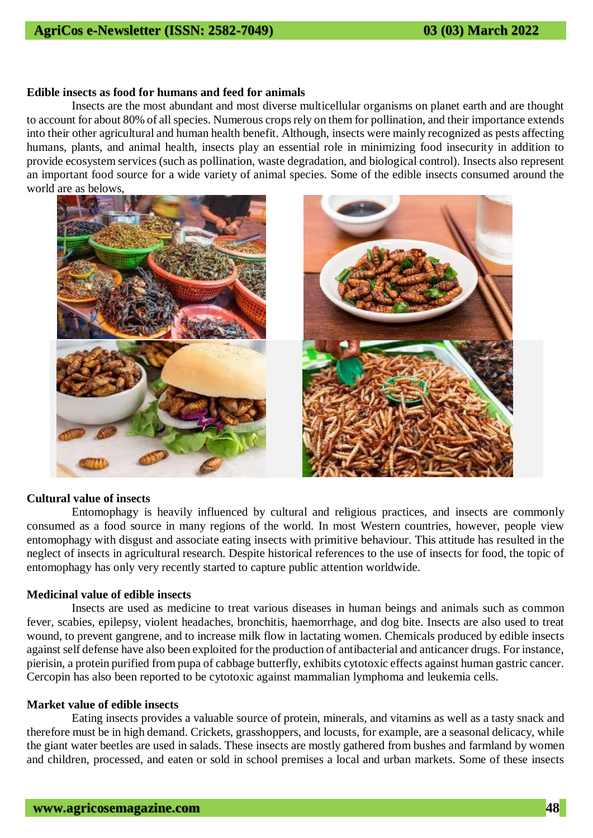## **AgriCos e-Newsletter (ISSN: 2582-7049) 03 (03) March 2022**

#### **Edible insects as food for humans and feed for animals**

Insects are the most abundant and most diverse multicellular organisms on planet earth and are thought to account for about 80% of all species. Numerous crops rely on them for pollination, and their importance extends into their other agricultural and human health benefit. Although, insects were mainly recognized as pests affecting humans, plants, and animal health, insects play an essential role in minimizing food insecurity in addition to provide ecosystem services (such as pollination, waste degradation, and biological control). Insects also represent an important food source for a wide variety of animal species. Some of the edible insects consumed around the world are as belows,



#### **Cultural value of insects**

Entomophagy is heavily influenced by cultural and religious practices, and insects are commonly consumed as a food source in many regions of the world. In most Western countries, however, people view entomophagy with disgust and associate eating insects with primitive behaviour. This attitude has resulted in the neglect of insects in agricultural research. Despite historical references to the use of insects for food, the topic of entomophagy has only very recently started to capture public attention worldwide.

#### **Medicinal value of edible insects**

Insects are used as medicine to treat various diseases in human beings and animals such as common fever, scabies, epilepsy, violent headaches, bronchitis, haemorrhage, and dog bite. Insects are also used to treat wound, to prevent gangrene, and to increase milk flow in lactating women. Chemicals produced by edible insects against self defense have also been exploited for the production of antibacterial and anticancer drugs. For instance, pierisin, a protein purified from pupa of cabbage butterfly, exhibits cytotoxic effects against human gastric cancer. Cercopin has also been reported to be cytotoxic against mammalian lymphoma and leukemia cells.

#### **Market value of edible insects**

Eating insects provides a valuable source of protein, minerals, and vitamins as well as a tasty snack and therefore must be in high demand. Crickets, grasshoppers, and locusts, for example, are a seasonal delicacy, while the giant water beetles are used in salads. These insects are mostly gathered from bushes and farmland by women and children, processed, and eaten or sold in school premises a local and urban markets. Some of these insects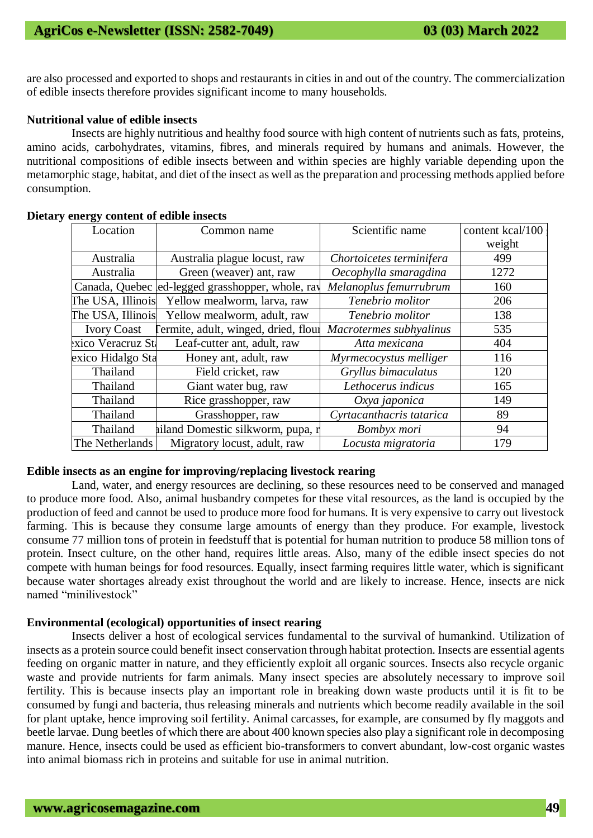are also processed and exported to shops and restaurants in cities in and out of the country. The commercialization of edible insects therefore provides significant income to many households.

#### **Nutritional value of edible insects**

Insects are highly nutritious and healthy food source with high content of nutrients such as fats, proteins, amino acids, carbohydrates, vitamins, fibres, and minerals required by humans and animals. However, the nutritional compositions of edible insects between and within species are highly variable depending upon the metamorphic stage, habitat, and diet of the insect as well as the preparation and processing methods applied before consumption.

| Location           |                                                  | Scientific name          | content kcal/100 |
|--------------------|--------------------------------------------------|--------------------------|------------------|
|                    | Common name                                      |                          | weight           |
|                    |                                                  |                          |                  |
| Australia          | Australia plague locust, raw                     | Chortoicetes terminifera | 499              |
| Australia          | Green (weaver) ant, raw                          | Oecophylla smaragdina    | 1272             |
|                    | Canada, Quebec ed-legged grasshopper, whole, ray | Melanoplus femurrubrum   | 160              |
| The USA, Illinois  | Yellow mealworm, larva, raw                      | Tenebrio molitor         | 206              |
| The USA, Illinois  | Yellow mealworm, adult, raw                      | Tenebrio molitor         | 138              |
| <b>Ivory Coast</b> | ermite, adult, winged, dried, flour              | Macrotermes subhyalinus  | 535              |
| xico Veracruz St.  | Leaf-cutter ant, adult, raw                      | Atta mexicana            | 404              |
| exico Hidalgo Sta  | Honey ant, adult, raw                            | Myrmecocystus melliger   | 116              |
| Thailand           | Field cricket, raw                               | Gryllus bimaculatus      | 120              |
| Thailand           | Giant water bug, raw                             | Lethocerus indicus       | 165              |
| Thailand           | Rice grasshopper, raw                            | Oxya japonica            | 149              |
| Thailand           | Grasshopper, raw                                 | Cyrtacanthacris tatarica | 89               |
| Thailand           | hiland Domestic silkworm, pupa, r                | Bombyx mori              | 94               |
| The Netherlands    | Migratory locust, adult, raw                     | Locusta migratoria       | 179              |

#### **Dietary energy content of edible insects**

#### **Edible insects as an engine for improving/replacing livestock rearing**

Land, water, and energy resources are declining, so these resources need to be conserved and managed to produce more food. Also, animal husbandry competes for these vital resources, as the land is occupied by the production of feed and cannot be used to produce more food for humans. It is very expensive to carry out livestock farming. This is because they consume large amounts of energy than they produce. For example, livestock consume 77 million tons of protein in feedstuff that is potential for human nutrition to produce 58 million tons of protein. Insect culture, on the other hand, requires little areas. Also, many of the edible insect species do not compete with human beings for food resources. Equally, insect farming requires little water, which is significant because water shortages already exist throughout the world and are likely to increase. Hence, insects are nick named "minilivestock"

#### **Environmental (ecological) opportunities of insect rearing**

Insects deliver a host of ecological services fundamental to the survival of humankind. Utilization of insects as a protein source could benefit insect conservation through habitat protection. Insects are essential agents feeding on organic matter in nature, and they efficiently exploit all organic sources. Insects also recycle organic waste and provide nutrients for farm animals. Many insect species are absolutely necessary to improve soil fertility. This is because insects play an important role in breaking down waste products until it is fit to be consumed by fungi and bacteria, thus releasing minerals and nutrients which become readily available in the soil for plant uptake, hence improving soil fertility. Animal carcasses, for example, are consumed by fly maggots and beetle larvae. Dung beetles of which there are about 400 known species also play a significant role in decomposing manure. Hence, insects could be used as efficient bio-transformers to convert abundant, low-cost organic wastes into animal biomass rich in proteins and suitable for use in animal nutrition.